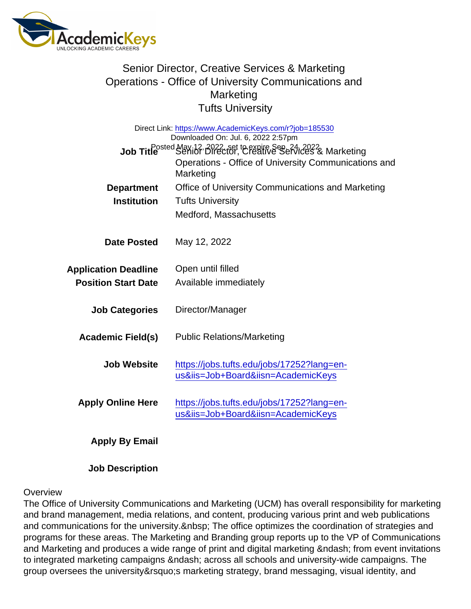## Senior Director, Creative Services & Marketing Operations - Office of University Communications and **Marketing** Tufts University

| Direct Link: https://www.AcademicKeys.com/r?job=185530<br>Downloaded On: Jul. 6, 2022 2:57pm |                                                                                  |
|----------------------------------------------------------------------------------------------|----------------------------------------------------------------------------------|
| Job Title <sup>Dosted</sup> Nav.12, 8022, set te expire See 24, 2023 Marketing               |                                                                                  |
|                                                                                              | Operations - Office of University Communications and<br>Marketing                |
| Department                                                                                   | Office of University Communications and Marketing                                |
| Institution                                                                                  | <b>Tufts University</b>                                                          |
|                                                                                              | Medford, Massachusetts                                                           |
| Date Posted                                                                                  | May 12, 2022                                                                     |
| <b>Application Deadline</b>                                                                  | Open until filled                                                                |
| <b>Position Start Date</b>                                                                   | Available immediately                                                            |
| <b>Job Categories</b>                                                                        | Director/Manager                                                                 |
| Academic Field(s)                                                                            | <b>Public Relations/Marketing</b>                                                |
| Job Website                                                                                  | https://jobs.tufts.edu/jobs/17252?lang=en-<br>us&iis=Job+Board&iisn=AcademicKeys |
| <b>Apply Online Here</b>                                                                     | https://jobs.tufts.edu/jobs/17252?lang=en-<br>us&iis=Job+Board&iisn=AcademicKeys |
| Apply By Email                                                                               |                                                                                  |

Job Description

## **Overview**

The Office of University Communications and Marketing (UCM) has overall responsibility for marketing and brand management, media relations, and content, producing various print and web publications and communications for the university. The office optimizes the coordination of strategies and programs for these areas. The Marketing and Branding group reports up to the VP of Communications and Marketing and produces a wide range of print and digital marketing – from event invitations to integrated marketing campaigns – across all schools and university-wide campaigns. The group oversees the university' marketing strategy, brand messaging, visual identity, and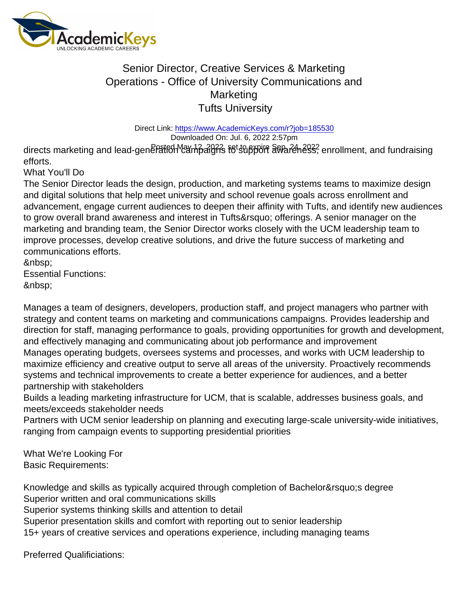## Senior Director, Creative Services & Marketing Operations - Office of University Communications and **Marketing** Tufts University

Direct Link: <https://www.AcademicKeys.com/r?job=185530> Downloaded On: Jul. 6, 2022 2:57pm

directs marketing and lead-gene<del>Pมั่</del>tfon *Campaign*s fot support awa*reness*, enrollment, and fundraising efforts.

What You'll Do

The Senior Director leads the design, production, and marketing systems teams to maximize design and digital solutions that help meet university and school revenue goals across enrollment and advancement, engage current audiences to deepen their affinity with Tufts, and identify new audiences to grow overall brand awareness and interest in Tufts' offerings. A senior manager on the marketing and branding team, the Senior Director works closely with the UCM leadership team to improve processes, develop creative solutions, and drive the future success of marketing and communications efforts.

 Essential Functions:

Manages a team of designers, developers, production staff, and project managers who partner with strategy and content teams on marketing and communications campaigns. Provides leadership and direction for staff, managing performance to goals, providing opportunities for growth and development, and effectively managing and communicating about job performance and improvement Manages operating budgets, oversees systems and processes, and works with UCM leadership to maximize efficiency and creative output to serve all areas of the university. Proactively recommends systems and technical improvements to create a better experience for audiences, and a better partnership with stakeholders

Builds a leading marketing infrastructure for UCM, that is scalable, addresses business goals, and meets/exceeds stakeholder needs

Partners with UCM senior leadership on planning and executing large-scale university-wide initiatives, ranging from campaign events to supporting presidential priorities

What We're Looking For Basic Requirements:

Knowledge and skills as typically acquired through completion of Bachelor's degree Superior written and oral communications skills

Superior systems thinking skills and attention to detail

Superior presentation skills and comfort with reporting out to senior leadership

15+ years of creative services and operations experience, including managing teams

Preferred Qualificiations: